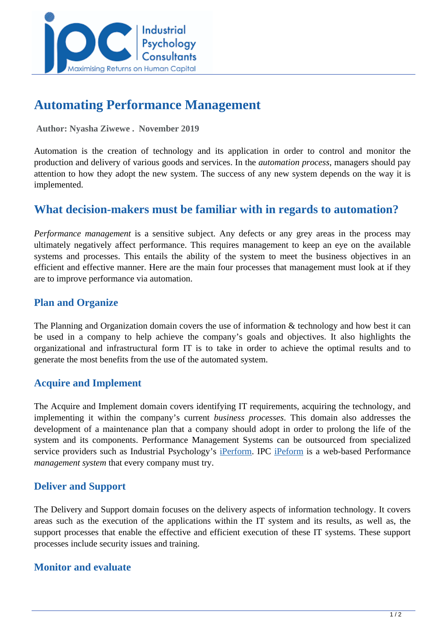

# **Automating Performance Management**

 **Author: Nyasha Ziwewe . November 2019** 

Automation is the creation of technology and its application in order to control and monitor the production and delivery of various goods and services. In the *automation process*, managers should pay attention to how they adopt the new system. The success of any new system depends on the way it is implemented.

## **What decision-makers must be familiar with in regards to automation?**

*Performance management* is a sensitive subject. Any defects or any grey areas in the process may ultimately negatively affect performance. This requires management to keep an eye on the available systems and processes. This entails the ability of the system to meet the business objectives in an efficient and effective manner. Here are the main four processes that management must look at if they are to improve performance via automation.

### **Plan and Organize**

The Planning and Organization domain covers the use of information & technology and how best it can be used in a company to help achieve the company's goals and objectives. It also highlights the organizational and infrastructural form IT is to take in order to achieve the optimal results and to generate the most benefits from the use of the automated system.

### **Acquire and Implement**

The Acquire and Implement domain covers identifying IT requirements, acquiring the technology, and implementing it within the company's current *business processes*. This domain also addresses the development of a maintenance plan that a company should adopt in order to prolong the life of the system and its components. Performance Management Systems can be outsourced from specialized service providers such as Industrial Psychology's [iPerform](http://jobevaluation.ipcconsultants.com:8082/balanced/). IPC [iPeform](http://jobevaluation.ipcconsultants.com:8082/balanced/) is a web-based Performance *management system* that every company must try.

### **Deliver and Support**

The Delivery and Support domain focuses on the delivery aspects of information technology. It covers areas such as the execution of the applications within the IT system and its results, as well as, the support processes that enable the effective and efficient execution of these IT systems. These support processes include security issues and training.

### **Monitor and evaluate**